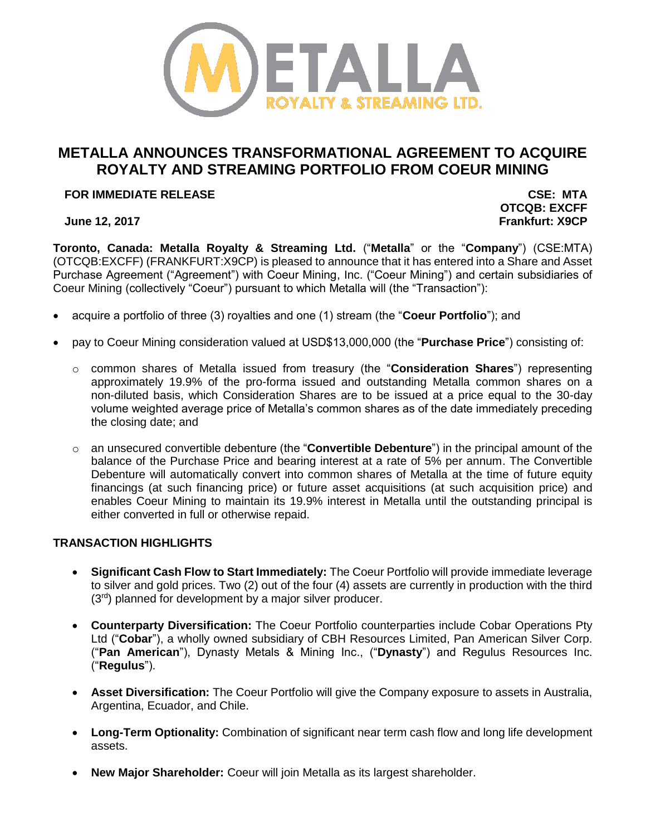

# **METALLA ANNOUNCES TRANSFORMATIONAL AGREEMENT TO ACQUIRE ROYALTY AND STREAMING PORTFOLIO FROM COEUR MINING**

## **FOR IMMEDIATE RELEASE CSE: MTA**

**OTCQB: EXCFF June 12, 2017 Frankfurt: X9CP**

**Toronto, Canada: Metalla Royalty & Streaming Ltd.** ("**Metalla**" or the "**Company**") (CSE:MTA) (OTCQB:EXCFF) (FRANKFURT:X9CP) is pleased to announce that it has entered into a Share and Asset Purchase Agreement ("Agreement") with Coeur Mining, Inc. ("Coeur Mining") and certain subsidiaries of Coeur Mining (collectively "Coeur") pursuant to which Metalla will (the "Transaction"):

- acquire a portfolio of three (3) royalties and one (1) stream (the "**Coeur Portfolio**"); and
- pay to Coeur Mining consideration valued at USD\$13,000,000 (the "**Purchase Price**") consisting of:
	- o common shares of Metalla issued from treasury (the "**Consideration Shares**") representing approximately 19.9% of the pro-forma issued and outstanding Metalla common shares on a non-diluted basis, which Consideration Shares are to be issued at a price equal to the 30-day volume weighted average price of Metalla's common shares as of the date immediately preceding the closing date; and
	- o an unsecured convertible debenture (the "**Convertible Debenture**") in the principal amount of the balance of the Purchase Price and bearing interest at a rate of 5% per annum. The Convertible Debenture will automatically convert into common shares of Metalla at the time of future equity financings (at such financing price) or future asset acquisitions (at such acquisition price) and enables Coeur Mining to maintain its 19.9% interest in Metalla until the outstanding principal is either converted in full or otherwise repaid.

# **TRANSACTION HIGHLIGHTS**

- **Significant Cash Flow to Start Immediately:** The Coeur Portfolio will provide immediate leverage to silver and gold prices. Two (2) out of the four (4) assets are currently in production with the third (3<sup>rd</sup>) planned for development by a major silver producer.
- **Counterparty Diversification:** The Coeur Portfolio counterparties include Cobar Operations Pty Ltd ("**Cobar**"), a wholly owned subsidiary of CBH Resources Limited, Pan American Silver Corp. ("**Pan American**"), Dynasty Metals & Mining Inc., ("**Dynasty**") and Regulus Resources Inc. ("**Regulus**").
- **Asset Diversification:** The Coeur Portfolio will give the Company exposure to assets in Australia, Argentina, Ecuador, and Chile.
- **Long-Term Optionality:** Combination of significant near term cash flow and long life development assets.
- **New Major Shareholder:** Coeur will join Metalla as its largest shareholder.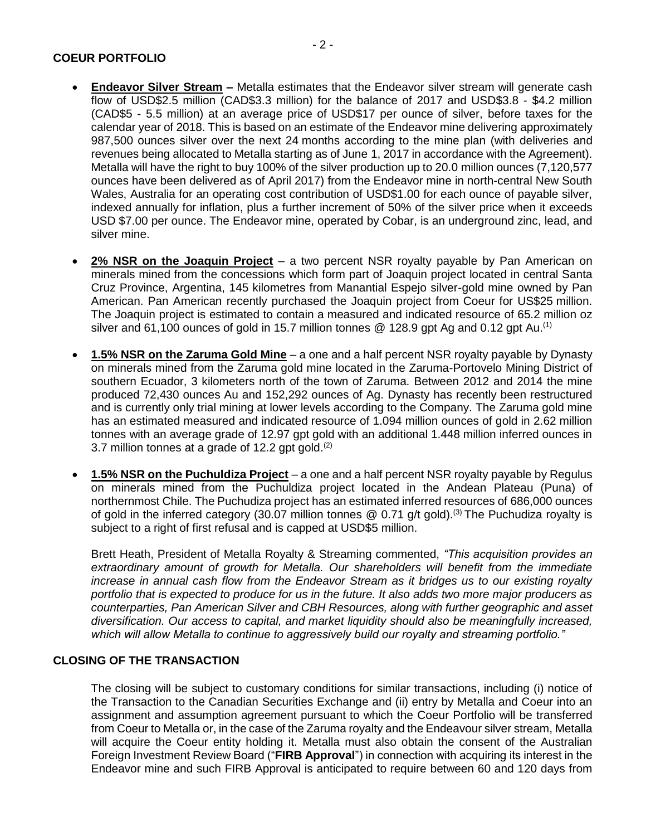## **COEUR PORTFOLIO**

- **Endeavor Silver Stream** Metalla estimates that the Endeavor silver stream will generate cash flow of USD\$2.5 million (CAD\$3.3 million) for the balance of 2017 and USD\$3.8 - \$4.2 million (CAD\$5 - 5.5 million) at an average price of USD\$17 per ounce of silver, before taxes for the calendar year of 2018. This is based on an estimate of the Endeavor mine delivering approximately 987,500 ounces silver over the next 24 months according to the mine plan (with deliveries and revenues being allocated to Metalla starting as of June 1, 2017 in accordance with the Agreement). Metalla will have the right to buy 100% of the silver production up to 20.0 million ounces (7,120,577 ounces have been delivered as of April 2017) from the Endeavor mine in north-central New South Wales, Australia for an operating cost contribution of USD\$1.00 for each ounce of payable silver, indexed annually for inflation, plus a further increment of 50% of the silver price when it exceeds USD \$7.00 per ounce. The Endeavor mine, operated by Cobar, is an underground zinc, lead, and silver mine.
- **2% NSR on the Joaquin Project** a two percent NSR royalty payable by Pan American on minerals mined from the concessions which form part of Joaquin project located in central Santa Cruz Province, Argentina, 145 kilometres from Manantial Espejo silver-gold mine owned by Pan American. Pan American recently purchased the Joaquin project from Coeur for US\$25 million. The Joaquin project is estimated to contain a measured and indicated resource of 65.2 million oz silver and 61,100 ounces of gold in 15.7 million tonnes @ 128.9 gpt Ag and 0.12 gpt Au.<sup>(1)</sup>
- **1.5% NSR on the Zaruma Gold Mine** a one and a half percent NSR royalty payable by Dynasty on minerals mined from the Zaruma gold mine located in the Zaruma-Portovelo Mining District of southern Ecuador, 3 kilometers north of the town of Zaruma. Between 2012 and 2014 the mine produced 72,430 ounces Au and 152,292 ounces of Ag. Dynasty has recently been restructured and is currently only trial mining at lower levels according to the Company. The Zaruma gold mine has an estimated measured and indicated resource of 1.094 million ounces of gold in 2.62 million tonnes with an average grade of 12.97 gpt gold with an additional 1.448 million inferred ounces in 3.7 million tonnes at a grade of 12.2 gpt gold. $(2)$
- **1.5% NSR on the Puchuldiza Project** a one and a half percent NSR royalty payable by Regulus on minerals mined from the Puchuldiza project located in the Andean Plateau (Puna) of northernmost Chile. The Puchudiza project has an estimated inferred resources of 686,000 ounces of gold in the inferred category (30.07 million tonnes  $@$  0.71 g/t gold).<sup>(3)</sup> The Puchudiza royalty is subject to a right of first refusal and is capped at USD\$5 million.

Brett Heath, President of Metalla Royalty & Streaming commented, *"This acquisition provides an extraordinary amount of growth for Metalla. Our shareholders will benefit from the immediate increase in annual cash flow from the Endeavor Stream as it bridges us to our existing royalty portfolio that is expected to produce for us in the future. It also adds two more major producers as counterparties, Pan American Silver and CBH Resources, along with further geographic and asset diversification. Our access to capital, and market liquidity should also be meaningfully increased, which will allow Metalla to continue to aggressively build our royalty and streaming portfolio."* 

### **CLOSING OF THE TRANSACTION**

The closing will be subject to customary conditions for similar transactions, including (i) notice of the Transaction to the Canadian Securities Exchange and (ii) entry by Metalla and Coeur into an assignment and assumption agreement pursuant to which the Coeur Portfolio will be transferred from Coeur to Metalla or, in the case of the Zaruma royalty and the Endeavour silver stream, Metalla will acquire the Coeur entity holding it. Metalla must also obtain the consent of the Australian Foreign Investment Review Board ("**FIRB Approval**") in connection with acquiring its interest in the Endeavor mine and such FIRB Approval is anticipated to require between 60 and 120 days from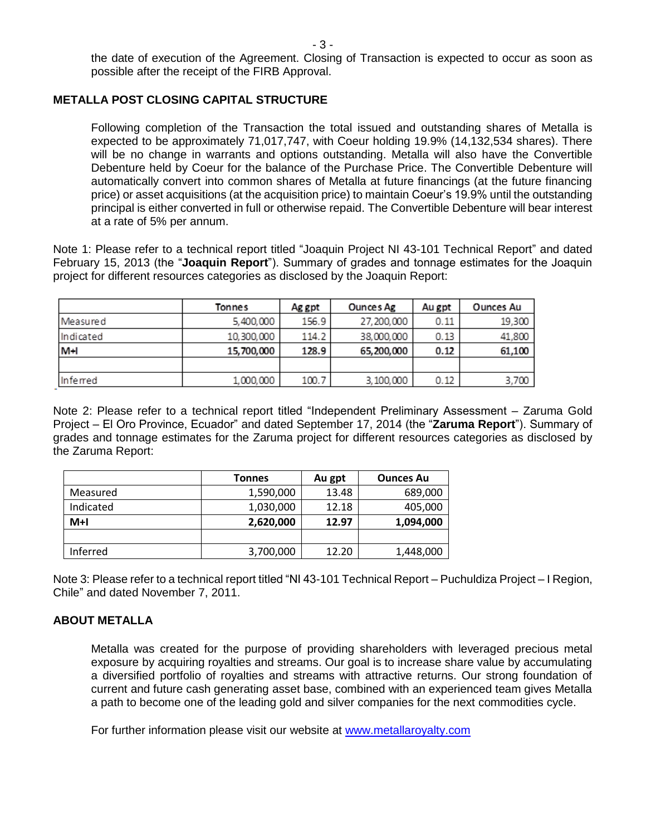the date of execution of the Agreement. Closing of Transaction is expected to occur as soon as possible after the receipt of the FIRB Approval.

## **METALLA POST CLOSING CAPITAL STRUCTURE**

Following completion of the Transaction the total issued and outstanding shares of Metalla is expected to be approximately 71,017,747, with Coeur holding 19.9% (14,132,534 shares). There will be no change in warrants and options outstanding. Metalla will also have the Convertible Debenture held by Coeur for the balance of the Purchase Price. The Convertible Debenture will automatically convert into common shares of Metalla at future financings (at the future financing price) or asset acquisitions (at the acquisition price) to maintain Coeur's 19.9% until the outstanding principal is either converted in full or otherwise repaid. The Convertible Debenture will bear interest at a rate of 5% per annum.

Note 1: Please refer to a technical report titled "Joaquin Project NI 43-101 Technical Report" and dated February 15, 2013 (the "**Joaquin Report**"). Summary of grades and tonnage estimates for the Joaquin project for different resources categories as disclosed by the Joaquin Report:

|           | Tonnes     | Ag gpt | Ounces Ag  | Au gpt | Ounces Au |
|-----------|------------|--------|------------|--------|-----------|
| Measured  | 5,400,000  | 156.9  | 27,200,000 | 0.11   | 19,300    |
| Indicated | 10,300,000 | 114.2  | 38,000,000 | 0.13   | 41,800    |
| $M+1$     | 15,700,000 | 128.9  | 65,200,000 | 0.12   | 61,100    |
|           |            |        |            |        |           |
| Inferred  | 1,000,000  | 100.7  | 3,100,000  | 0.12   | 3,700     |

Note 2: Please refer to a technical report titled "Independent Preliminary Assessment – Zaruma Gold Project – El Oro Province, Ecuador" and dated September 17, 2014 (the "**Zaruma Report**"). Summary of grades and tonnage estimates for the Zaruma project for different resources categories as disclosed by the Zaruma Report:

|           | <b>Tonnes</b> | Au gpt | <b>Ounces Au</b> |  |
|-----------|---------------|--------|------------------|--|
| Measured  | 1,590,000     | 13.48  | 689,000          |  |
| Indicated | 1,030,000     | 12.18  | 405,000          |  |
| $M+I$     | 2,620,000     | 12.97  | 1,094,000        |  |
|           |               |        |                  |  |
| Inferred  | 3,700,000     | 12.20  | 1,448,000        |  |

Note 3: Please refer to a technical report titled "NI 43-101 Technical Report – Puchuldiza Project – I Region, Chile" and dated November 7, 2011.

# **ABOUT METALLA**

Metalla was created for the purpose of providing shareholders with leveraged precious metal exposure by acquiring royalties and streams. Our goal is to increase share value by accumulating a diversified portfolio of royalties and streams with attractive returns. Our strong foundation of current and future cash generating asset base, combined with an experienced team gives Metalla a path to become one of the leading gold and silver companies for the next commodities cycle.

For further information please visit our website at [www.metallaroyalty.com](http://www.metallaroyalty.com/)